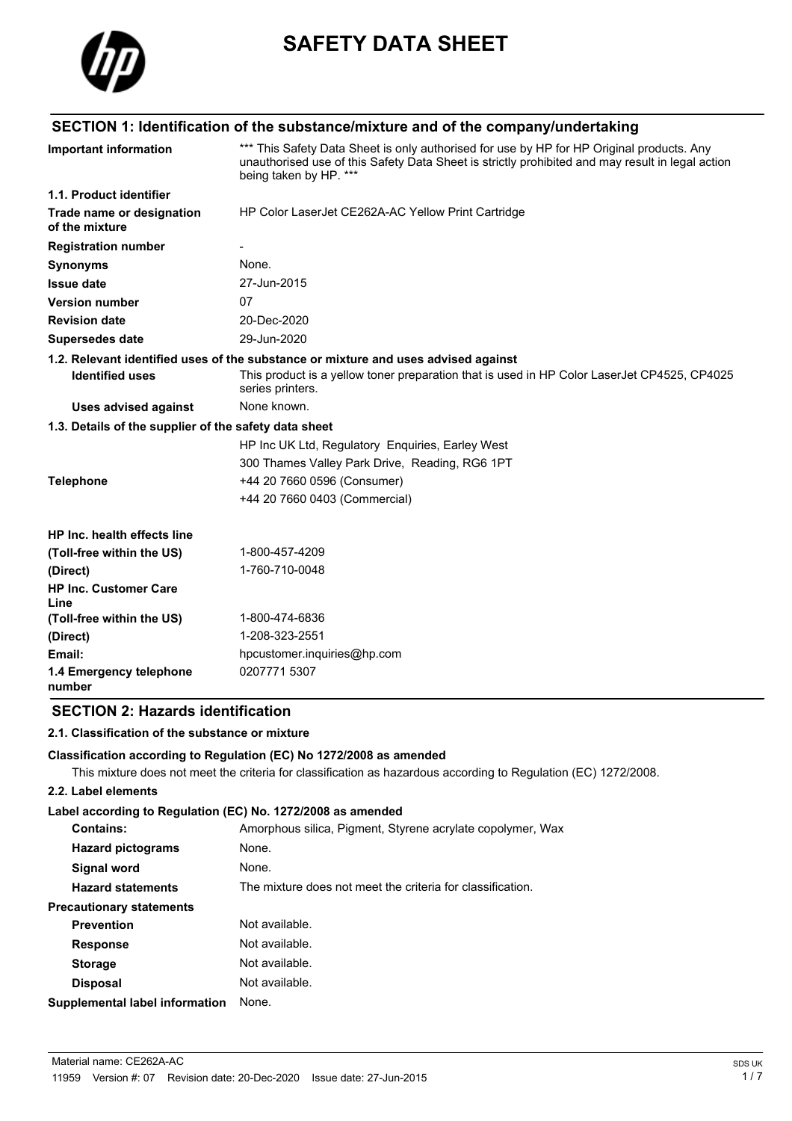

# **SAFETY DATA SHEET**

# **SECTION 1: Identification of the substance/mixture and of the company/undertaking**

| *** This Safety Data Sheet is only authorised for use by HP for HP Original products. Any<br>unauthorised use of this Safety Data Sheet is strictly prohibited and may result in legal action<br>being taken by HP. *** |  |
|-------------------------------------------------------------------------------------------------------------------------------------------------------------------------------------------------------------------------|--|
|                                                                                                                                                                                                                         |  |
| HP Color LaserJet CE262A-AC Yellow Print Cartridge                                                                                                                                                                      |  |
|                                                                                                                                                                                                                         |  |
| None.                                                                                                                                                                                                                   |  |
| 27-Jun-2015                                                                                                                                                                                                             |  |
| 07                                                                                                                                                                                                                      |  |
| 20-Dec-2020                                                                                                                                                                                                             |  |
| 29-Jun-2020                                                                                                                                                                                                             |  |
| 1.2. Relevant identified uses of the substance or mixture and uses advised against                                                                                                                                      |  |
| This product is a yellow toner preparation that is used in HP Color LaserJet CP4525, CP4025<br>series printers.                                                                                                         |  |
| None known.                                                                                                                                                                                                             |  |
| 1.3. Details of the supplier of the safety data sheet                                                                                                                                                                   |  |
| HP Inc UK Ltd, Regulatory Enquiries, Earley West                                                                                                                                                                        |  |
| 300 Thames Valley Park Drive, Reading, RG6 1PT                                                                                                                                                                          |  |
| +44 20 7660 0596 (Consumer)                                                                                                                                                                                             |  |
| +44 20 7660 0403 (Commercial)                                                                                                                                                                                           |  |
|                                                                                                                                                                                                                         |  |
| 1-800-457-4209                                                                                                                                                                                                          |  |
| 1-760-710-0048                                                                                                                                                                                                          |  |
|                                                                                                                                                                                                                         |  |
| 1-800-474-6836                                                                                                                                                                                                          |  |
| 1-208-323-2551                                                                                                                                                                                                          |  |
| hpcustomer.inquiries@hp.com                                                                                                                                                                                             |  |
| 0207771 5307                                                                                                                                                                                                            |  |
|                                                                                                                                                                                                                         |  |

## **SECTION 2: Hazards identification**

#### **2.1. Classification of the substance or mixture**

#### **Classification according to Regulation (EC) No 1272/2008 as amended**

This mixture does not meet the criteria for classification as hazardous according to Regulation (EC) 1272/2008.

### **2.2. Label elements**

# **Label according to Regulation (EC) No. 1272/2008 as amended**

| <b>Contains:</b>                | Amorphous silica, Pigment, Styrene acrylate copolymer, Wax |
|---------------------------------|------------------------------------------------------------|
| <b>Hazard pictograms</b>        | None.                                                      |
| Signal word                     | None.                                                      |
| <b>Hazard statements</b>        | The mixture does not meet the criteria for classification. |
| <b>Precautionary statements</b> |                                                            |
| <b>Prevention</b>               | Not available.                                             |
| <b>Response</b>                 | Not available.                                             |
| <b>Storage</b>                  | Not available.                                             |
| <b>Disposal</b>                 | Not available.                                             |
| Supplemental label information  | None.                                                      |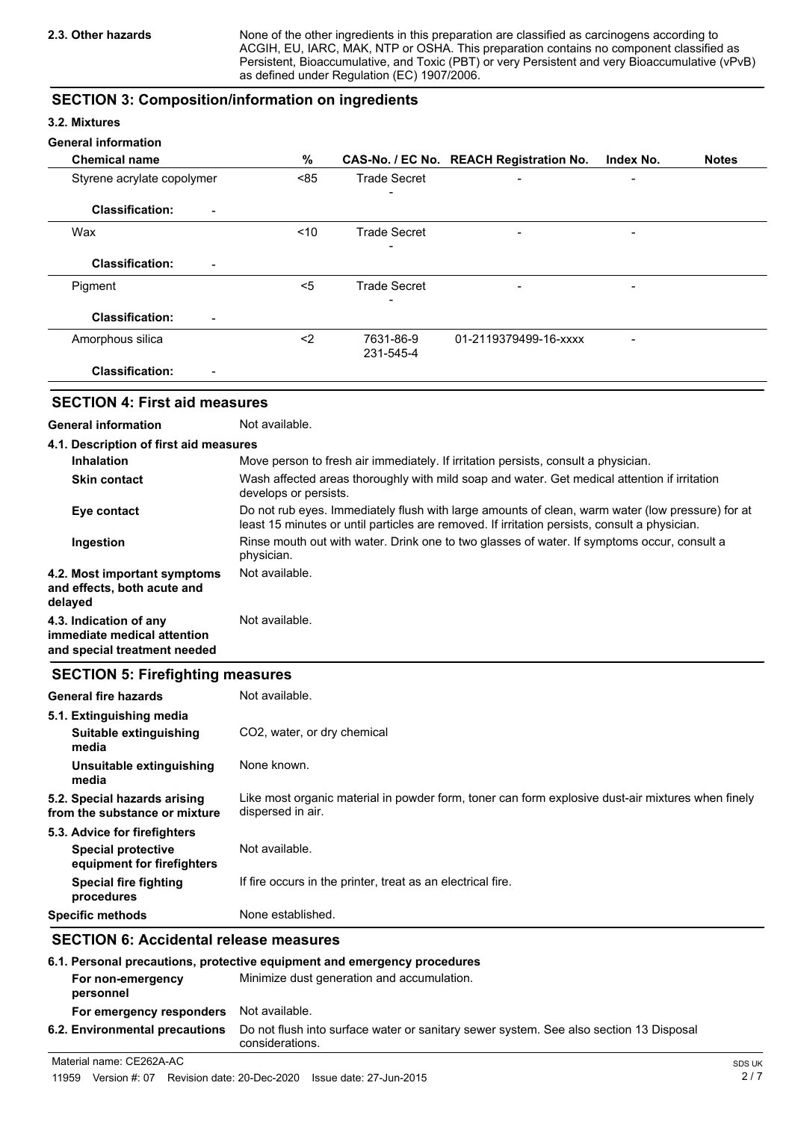None of the other ingredients in this preparation are classified as carcinogens according to ACGIH, EU, IARC, MAK, NTP or OSHA. This preparation contains no component classified as Persistent, Bioaccumulative, and Toxic (PBT) or very Persistent and very Bioaccumulative (vPvB) as defined under Regulation (EC) 1907/2006.

# **SECTION 3: Composition/information on ingredients**

#### **3.2. Mixtures**

#### **General information**

| <b>Chemical name</b>                               | %    |                        | CAS-No. / EC No. REACH Registration No. | Index No.                | <b>Notes</b> |
|----------------------------------------------------|------|------------------------|-----------------------------------------|--------------------------|--------------|
| Styrene acrylate copolymer                         | < 85 | <b>Trade Secret</b>    | $\blacksquare$                          | $\overline{\phantom{0}}$ |              |
| <b>Classification:</b><br>$\blacksquare$           |      | -                      |                                         |                          |              |
| Wax                                                | ~10  | <b>Trade Secret</b>    | $\overline{\phantom{0}}$                |                          |              |
| <b>Classification:</b><br>$\blacksquare$           |      | -                      |                                         |                          |              |
| Pigment                                            | $5$  | <b>Trade Secret</b>    |                                         | $\qquad \qquad$          |              |
| <b>Classification:</b><br>$\overline{\phantom{0}}$ |      |                        |                                         |                          |              |
| Amorphous silica                                   | $2$  | 7631-86-9<br>231-545-4 | 01-2119379499-16-xxxx                   |                          |              |
| <b>Classification:</b><br>$\qquad \qquad$          |      |                        |                                         |                          |              |

# **SECTION 4: First aid measures**

### **General information** Not available.

| 4.1. Description of first aid measures                                                |                                                                                                                                                                                                   |
|---------------------------------------------------------------------------------------|---------------------------------------------------------------------------------------------------------------------------------------------------------------------------------------------------|
| <b>Inhalation</b>                                                                     | Move person to fresh air immediately. If irritation persists, consult a physician.                                                                                                                |
| <b>Skin contact</b>                                                                   | Wash affected areas thoroughly with mild soap and water. Get medical attention if irritation<br>develops or persists.                                                                             |
| Eye contact                                                                           | Do not rub eyes. Immediately flush with large amounts of clean, warm water (low pressure) for at<br>least 15 minutes or until particles are removed. If irritation persists, consult a physician. |
| Ingestion                                                                             | Rinse mouth out with water. Drink one to two glasses of water. If symptoms occur, consult a<br>physician.                                                                                         |
| 4.2. Most important symptoms<br>and effects, both acute and<br>delayed                | Not available.                                                                                                                                                                                    |
| 4.3. Indication of any<br>immediate medical attention<br>and special treatment needed | Not available.                                                                                                                                                                                    |

## **SECTION 5: Firefighting measures**

| <b>General fire hazards</b>                                                             | Not available.                                                                                                         |
|-----------------------------------------------------------------------------------------|------------------------------------------------------------------------------------------------------------------------|
| 5.1. Extinguishing media<br>Suitable extinguishing<br>media                             | CO <sub>2</sub> , water, or dry chemical                                                                               |
| Unsuitable extinguishing<br>media                                                       | None known.                                                                                                            |
| 5.2. Special hazards arising<br>from the substance or mixture                           | Like most organic material in powder form, toner can form explosive dust-air mixtures when finely<br>dispersed in air. |
| 5.3. Advice for firefighters<br><b>Special protective</b><br>equipment for firefighters | Not available.                                                                                                         |
| <b>Special fire fighting</b><br>procedures                                              | If fire occurs in the printer, treat as an electrical fire.                                                            |
| <b>Specific methods</b>                                                                 | None established.                                                                                                      |

# **SECTION 6: Accidental release measures**

| 6.1. Personal precautions, protective equipment and emergency procedures |                                                                                                           |  |
|--------------------------------------------------------------------------|-----------------------------------------------------------------------------------------------------------|--|
| For non-emergency<br>personnel                                           | Minimize dust generation and accumulation.                                                                |  |
| For emergency responders                                                 | Not available.                                                                                            |  |
| 6.2. Environmental precautions                                           | Do not flush into surface water or sanitary sewer system. See also section 13 Disposal<br>considerations. |  |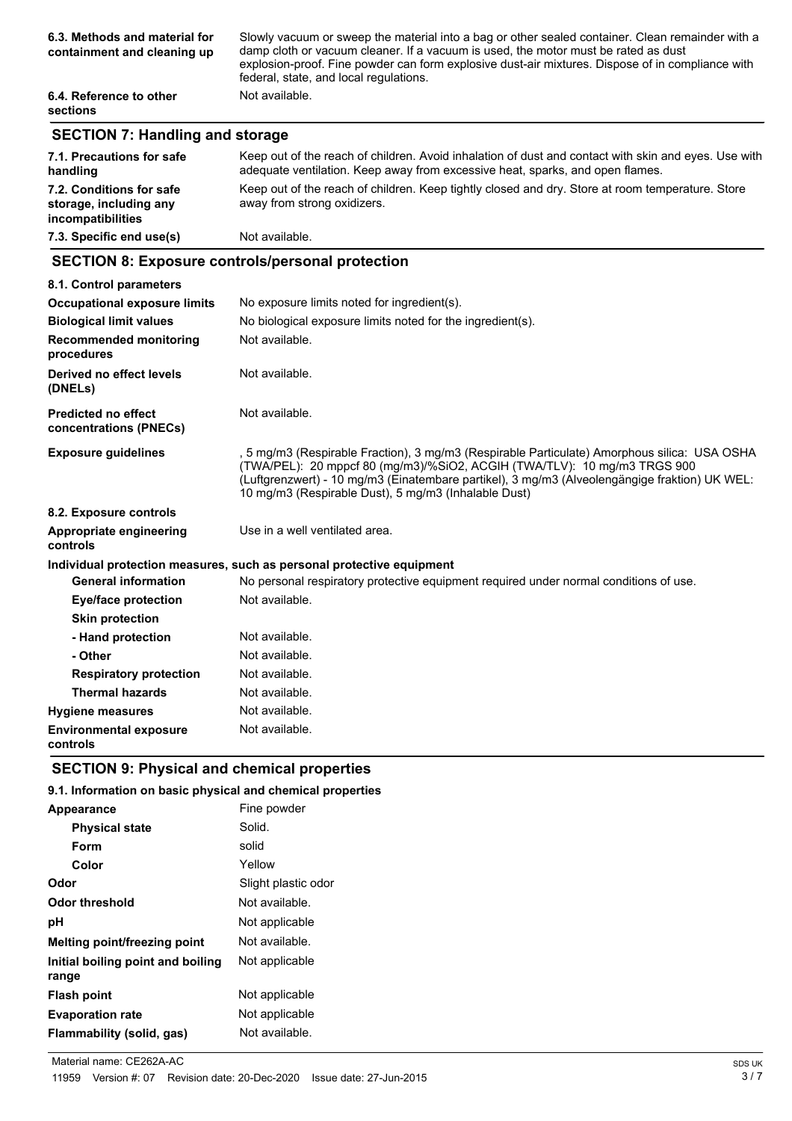| 6.3. Methods and material for<br>containment and cleaning up | Slowly vacuum or sweep the material into a bag or other sealed container. Clean remainder with a<br>damp cloth or vacuum cleaner. If a vacuum is used, the motor must be rated as dust<br>explosion-proof. Fine powder can form explosive dust-air mixtures. Dispose of in compliance with<br>federal, state, and local regulations. |
|--------------------------------------------------------------|--------------------------------------------------------------------------------------------------------------------------------------------------------------------------------------------------------------------------------------------------------------------------------------------------------------------------------------|
| 6.4. Reference to other<br><b>sections</b>                   | Not available.                                                                                                                                                                                                                                                                                                                       |

# **SECTION 7: Handling and storage**

| 7.1. Precautions for safe<br>handling                                   | Keep out of the reach of children. Avoid inhalation of dust and contact with skin and eyes. Use with<br>adequate ventilation. Keep away from excessive heat, sparks, and open flames. |
|-------------------------------------------------------------------------|---------------------------------------------------------------------------------------------------------------------------------------------------------------------------------------|
| 7.2. Conditions for safe<br>storage, including any<br>incompatibilities | Keep out of the reach of children. Keep tightly closed and dry. Store at room temperature. Store<br>away from strong oxidizers.                                                       |
| 7.3. Specific end use(s)                                                | Not available.                                                                                                                                                                        |

# **SECTION 8: Exposure controls/personal protection**

| 8.1. Control parameters                              |                                                                                                                                                                                                                                                                                                                                   |
|------------------------------------------------------|-----------------------------------------------------------------------------------------------------------------------------------------------------------------------------------------------------------------------------------------------------------------------------------------------------------------------------------|
| <b>Occupational exposure limits</b>                  | No exposure limits noted for ingredient(s).                                                                                                                                                                                                                                                                                       |
| <b>Biological limit values</b>                       | No biological exposure limits noted for the ingredient(s).                                                                                                                                                                                                                                                                        |
| <b>Recommended monitoring</b><br>procedures          | Not available.                                                                                                                                                                                                                                                                                                                    |
| Derived no effect levels<br>(DNELs)                  | Not available.                                                                                                                                                                                                                                                                                                                    |
| <b>Predicted no effect</b><br>concentrations (PNECs) | Not available.                                                                                                                                                                                                                                                                                                                    |
| <b>Exposure guidelines</b>                           | , 5 mg/m3 (Respirable Fraction), 3 mg/m3 (Respirable Particulate) Amorphous silica: USA OSHA<br>(TWA/PEL): 20 mppcf 80 (mg/m3)/%SiO2, ACGIH (TWA/TLV): 10 mg/m3 TRGS 900<br>(Luftgrenzwert) - 10 mg/m3 (Einatembare partikel), 3 mg/m3 (Alveolengängige fraktion) UK WEL:<br>10 mg/m3 (Respirable Dust), 5 mg/m3 (Inhalable Dust) |
| 8.2. Exposure controls                               |                                                                                                                                                                                                                                                                                                                                   |
| Appropriate engineering<br>controls                  | Use in a well ventilated area.                                                                                                                                                                                                                                                                                                    |
|                                                      | Individual protection measures, such as personal protective equipment                                                                                                                                                                                                                                                             |
| <b>General information</b>                           | No personal respiratory protective equipment required under normal conditions of use.                                                                                                                                                                                                                                             |
| Eye/face protection                                  | Not available.                                                                                                                                                                                                                                                                                                                    |
| <b>Skin protection</b>                               |                                                                                                                                                                                                                                                                                                                                   |
| - Hand protection                                    | Not available.                                                                                                                                                                                                                                                                                                                    |
| - Other                                              | Not available.                                                                                                                                                                                                                                                                                                                    |
| <b>Respiratory protection</b>                        | Not available.                                                                                                                                                                                                                                                                                                                    |
| <b>Thermal hazards</b>                               | Not available.                                                                                                                                                                                                                                                                                                                    |
| <b>Hygiene measures</b>                              | Not available.                                                                                                                                                                                                                                                                                                                    |
| <b>Environmental exposure</b><br>controls            | Not available.                                                                                                                                                                                                                                                                                                                    |

# **SECTION 9: Physical and chemical properties**

### **9.1. Information on basic physical and chemical properties**

| Appearance                                 | Fine powder         |
|--------------------------------------------|---------------------|
| <b>Physical state</b>                      | Solid.              |
| Form                                       | solid               |
| Color                                      | Yellow              |
| Odor                                       | Slight plastic odor |
| Odor threshold                             | Not available.      |
| рH                                         | Not applicable      |
| Melting point/freezing point               | Not available.      |
| Initial boiling point and boiling<br>range | Not applicable      |
| Flash point                                | Not applicable      |
| <b>Evaporation rate</b>                    | Not applicable      |
| Flammability (solid, gas)                  | Not available.      |
|                                            |                     |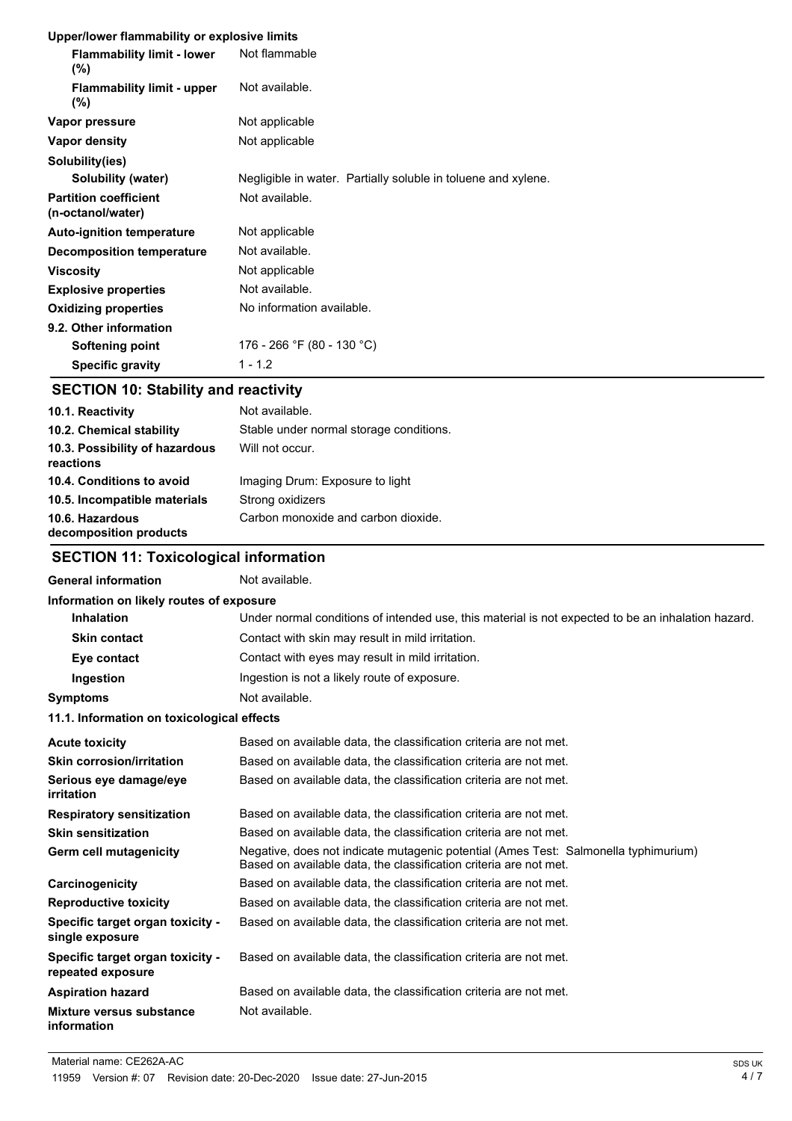#### **Upper/lower flammability or explosive limits**

| oppontonor naminasinty or explosive immed         |                                                               |
|---------------------------------------------------|---------------------------------------------------------------|
| <b>Flammability limit - lower</b><br>$(\% )$      | Not flammable                                                 |
| <b>Flammability limit - upper</b><br>$(\% )$      | Not available.                                                |
| Vapor pressure                                    | Not applicable                                                |
| Vapor density                                     | Not applicable                                                |
| Solubility(ies)                                   |                                                               |
| Solubility (water)                                | Negligible in water. Partially soluble in toluene and xylene. |
| <b>Partition coefficient</b><br>(n-octanol/water) | Not available.                                                |
| <b>Auto-ignition temperature</b>                  | Not applicable                                                |
| <b>Decomposition temperature</b>                  | Not available.                                                |
| <b>Viscosity</b>                                  | Not applicable                                                |
| <b>Explosive properties</b>                       | Not available.                                                |
| <b>Oxidizing properties</b>                       | No information available.                                     |
| 9.2. Other information                            |                                                               |
| Softening point                                   | 176 - 266 °F (80 - 130 °C)                                    |
| <b>Specific gravity</b>                           | $1 - 1.2$                                                     |

# **SECTION 10: Stability and reactivity**

| 10.1. Reactivity                            | Not available.                          |
|---------------------------------------------|-----------------------------------------|
| 10.2. Chemical stability                    | Stable under normal storage conditions. |
| 10.3. Possibility of hazardous<br>reactions | Will not occur.                         |
| 10.4. Conditions to avoid                   | Imaging Drum: Exposure to light         |
| 10.5. Incompatible materials                | Strong oxidizers                        |
| 10.6. Hazardous<br>decomposition products   | Carbon monoxide and carbon dioxide.     |

# **SECTION 11: Toxicological information**

# General information **Not** available.

| Information on likely routes of exposure              |                                                                                                                                                          |
|-------------------------------------------------------|----------------------------------------------------------------------------------------------------------------------------------------------------------|
| <b>Inhalation</b>                                     | Under normal conditions of intended use, this material is not expected to be an inhalation hazard.                                                       |
| <b>Skin contact</b>                                   | Contact with skin may result in mild irritation.                                                                                                         |
| Eye contact                                           | Contact with eyes may result in mild irritation.                                                                                                         |
| Ingestion                                             | Ingestion is not a likely route of exposure.                                                                                                             |
| <b>Symptoms</b>                                       | Not available.                                                                                                                                           |
| 11.1. Information on toxicological effects            |                                                                                                                                                          |
| <b>Acute toxicity</b>                                 | Based on available data, the classification criteria are not met.                                                                                        |
| <b>Skin corrosion/irritation</b>                      | Based on available data, the classification criteria are not met.                                                                                        |
| Serious eye damage/eye<br>irritation                  | Based on available data, the classification criteria are not met.                                                                                        |
| <b>Respiratory sensitization</b>                      | Based on available data, the classification criteria are not met.                                                                                        |
| <b>Skin sensitization</b>                             | Based on available data, the classification criteria are not met.                                                                                        |
| Germ cell mutagenicity                                | Negative, does not indicate mutagenic potential (Ames Test: Salmonella typhimurium)<br>Based on available data, the classification criteria are not met. |
| Carcinogenicity                                       | Based on available data, the classification criteria are not met.                                                                                        |
| <b>Reproductive toxicity</b>                          | Based on available data, the classification criteria are not met.                                                                                        |
| Specific target organ toxicity -<br>single exposure   | Based on available data, the classification criteria are not met.                                                                                        |
| Specific target organ toxicity -<br>repeated exposure | Based on available data, the classification criteria are not met.                                                                                        |
| <b>Aspiration hazard</b>                              | Based on available data, the classification criteria are not met.                                                                                        |
| Mixture versus substance<br>information               | Not available.                                                                                                                                           |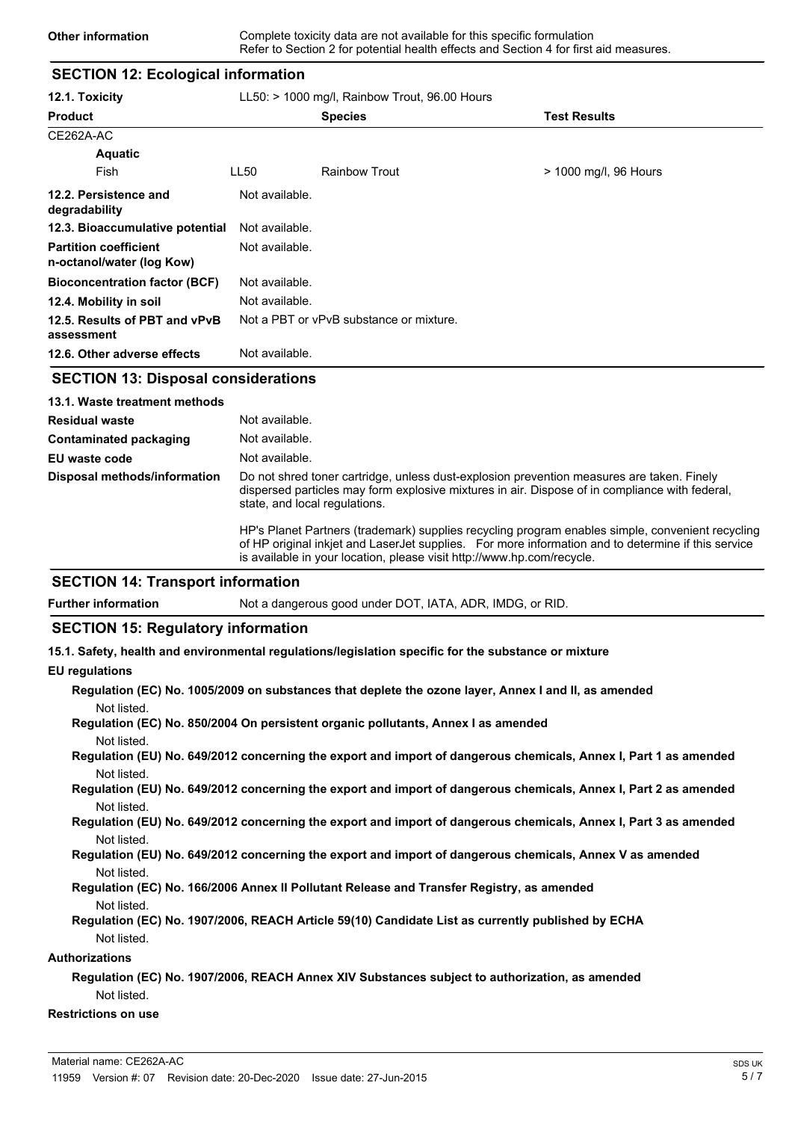### **SECTION 12: Ecological information**

| 12.1. Toxicity                                            | $LL50:$ > 1000 mg/l, Rainbow Trout, 96.00 Hours |                                         |                       |
|-----------------------------------------------------------|-------------------------------------------------|-----------------------------------------|-----------------------|
| <b>Product</b>                                            |                                                 | <b>Species</b>                          | <b>Test Results</b>   |
| CE262A-AC                                                 |                                                 |                                         |                       |
| <b>Aquatic</b>                                            |                                                 |                                         |                       |
| Fish                                                      | LL50                                            | <b>Rainbow Trout</b>                    | > 1000 mg/l, 96 Hours |
| 12.2. Persistence and<br>degradability                    | Not available.                                  |                                         |                       |
| 12.3. Bioaccumulative potential                           | Not available.                                  |                                         |                       |
| <b>Partition coefficient</b><br>n-octanol/water (log Kow) | Not available.                                  |                                         |                       |
| <b>Bioconcentration factor (BCF)</b>                      | Not available.                                  |                                         |                       |
| 12.4. Mobility in soil                                    | Not available.                                  |                                         |                       |
| 12.5. Results of PBT and vPvB<br>assessment               |                                                 | Not a PBT or vPvB substance or mixture. |                       |
| 12.6. Other adverse effects                               | Not available.                                  |                                         |                       |

### **SECTION 13: Disposal considerations**

| 13.1. Waste treatment methods |                                                                                                                                                                                                                                                                                  |
|-------------------------------|----------------------------------------------------------------------------------------------------------------------------------------------------------------------------------------------------------------------------------------------------------------------------------|
| <b>Residual waste</b>         | Not available.                                                                                                                                                                                                                                                                   |
| Contaminated packaging        | Not available.                                                                                                                                                                                                                                                                   |
| EU waste code                 | Not available.                                                                                                                                                                                                                                                                   |
| Disposal methods/information  | Do not shred toner cartridge, unless dust-explosion prevention measures are taken. Finely<br>dispersed particles may form explosive mixtures in air. Dispose of in compliance with federal,<br>state, and local regulations.                                                     |
|                               | HP's Planet Partners (trademark) supplies recycling program enables simple, convenient recycling<br>of HP original inkiet and LaserJet supplies. For more information and to determine if this service<br>is available in your location, please visit http://www.hp.com/recycle. |

#### **SECTION 14: Transport information**

**Further information** Not a dangerous good under DOT, IATA, ADR, IMDG, or RID.

#### **SECTION 15: Regulatory information**

**15.1. Safety, health and environmental regulations/legislation specific for the substance or mixture**

#### **EU regulations**

| Regulation (EC) No. 1005/2009 on substances that deplete the ozone layer, Annex I and II, as amended |  |  |  |
|------------------------------------------------------------------------------------------------------|--|--|--|
| Not listed.                                                                                          |  |  |  |
|                                                                                                      |  |  |  |

**Regulation (EC) No. 850/2004 On persistent organic pollutants, Annex I as amended** Not listed.

**Regulation (EU) No. 649/2012 concerning the export and import of dangerous chemicals, Annex I, Part 1 as amended** Not listed.

**Regulation (EU) No. 649/2012 concerning the export and import of dangerous chemicals, Annex I, Part 2 as amended** Not listed.

**Regulation (EU) No. 649/2012 concerning the export and import of dangerous chemicals, Annex I, Part 3 as amended** Not listed.

#### **Regulation (EU) No. 649/2012 concerning the export and import of dangerous chemicals, Annex V as amended** Not listed.

- **Regulation (EC) No. 166/2006 Annex II Pollutant Release and Transfer Registry, as amended** Not listed.
- **Regulation (EC) No. 1907/2006, REACH Article 59(10) Candidate List as currently published by ECHA** Not listed.

#### **Authorizations**

## **Regulation (EC) No. 1907/2006, REACH Annex XIV Substances subject to authorization, as amended** Not listed.

### **Restrictions on use**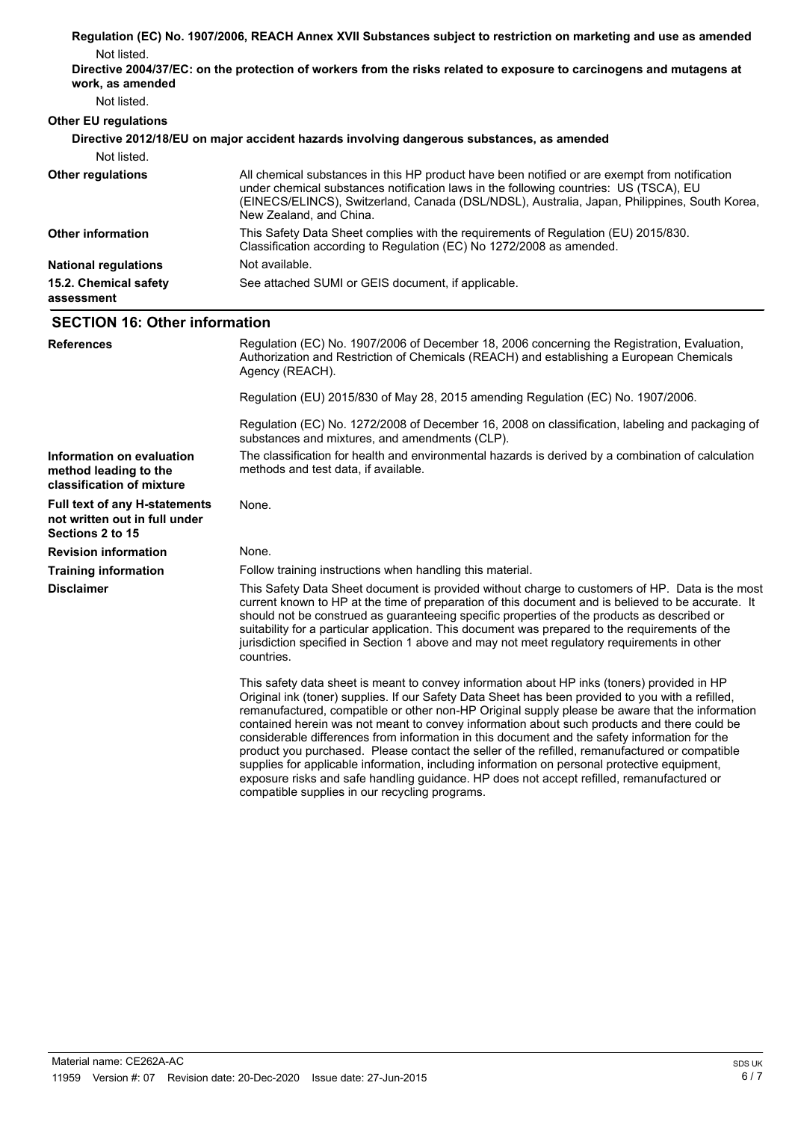|                                                                                           | Regulation (EC) No. 1907/2006, REACH Annex XVII Substances subject to restriction on marketing and use as amended                                                                                                                                                                                                                                                                                                                                                                                                                                                                                                                                                                                     |
|-------------------------------------------------------------------------------------------|-------------------------------------------------------------------------------------------------------------------------------------------------------------------------------------------------------------------------------------------------------------------------------------------------------------------------------------------------------------------------------------------------------------------------------------------------------------------------------------------------------------------------------------------------------------------------------------------------------------------------------------------------------------------------------------------------------|
| Not listed.                                                                               |                                                                                                                                                                                                                                                                                                                                                                                                                                                                                                                                                                                                                                                                                                       |
| work, as amended                                                                          | Directive 2004/37/EC: on the protection of workers from the risks related to exposure to carcinogens and mutagens at                                                                                                                                                                                                                                                                                                                                                                                                                                                                                                                                                                                  |
| Not listed.                                                                               |                                                                                                                                                                                                                                                                                                                                                                                                                                                                                                                                                                                                                                                                                                       |
| <b>Other EU regulations</b>                                                               |                                                                                                                                                                                                                                                                                                                                                                                                                                                                                                                                                                                                                                                                                                       |
|                                                                                           | Directive 2012/18/EU on major accident hazards involving dangerous substances, as amended                                                                                                                                                                                                                                                                                                                                                                                                                                                                                                                                                                                                             |
| Not listed.                                                                               |                                                                                                                                                                                                                                                                                                                                                                                                                                                                                                                                                                                                                                                                                                       |
| <b>Other regulations</b>                                                                  | All chemical substances in this HP product have been notified or are exempt from notification<br>under chemical substances notification laws in the following countries: US (TSCA), EU<br>(EINECS/ELINCS), Switzerland, Canada (DSL/NDSL), Australia, Japan, Philippines, South Korea,<br>New Zealand, and China.                                                                                                                                                                                                                                                                                                                                                                                     |
| <b>Other information</b>                                                                  | This Safety Data Sheet complies with the requirements of Regulation (EU) 2015/830.<br>Classification according to Regulation (EC) No 1272/2008 as amended.                                                                                                                                                                                                                                                                                                                                                                                                                                                                                                                                            |
| <b>National regulations</b>                                                               | Not available.                                                                                                                                                                                                                                                                                                                                                                                                                                                                                                                                                                                                                                                                                        |
| 15.2. Chemical safety<br>assessment                                                       | See attached SUMI or GEIS document, if applicable.                                                                                                                                                                                                                                                                                                                                                                                                                                                                                                                                                                                                                                                    |
| <b>SECTION 16: Other information</b>                                                      |                                                                                                                                                                                                                                                                                                                                                                                                                                                                                                                                                                                                                                                                                                       |
| <b>References</b>                                                                         | Regulation (EC) No. 1907/2006 of December 18, 2006 concerning the Registration, Evaluation,<br>Authorization and Restriction of Chemicals (REACH) and establishing a European Chemicals<br>Agency (REACH).                                                                                                                                                                                                                                                                                                                                                                                                                                                                                            |
|                                                                                           | Regulation (EU) 2015/830 of May 28, 2015 amending Regulation (EC) No. 1907/2006.                                                                                                                                                                                                                                                                                                                                                                                                                                                                                                                                                                                                                      |
|                                                                                           | Regulation (EC) No. 1272/2008 of December 16, 2008 on classification, labeling and packaging of<br>substances and mixtures, and amendments (CLP).                                                                                                                                                                                                                                                                                                                                                                                                                                                                                                                                                     |
| Information on evaluation<br>method leading to the<br>classification of mixture           | The classification for health and environmental hazards is derived by a combination of calculation<br>methods and test data, if available.                                                                                                                                                                                                                                                                                                                                                                                                                                                                                                                                                            |
| <b>Full text of any H-statements</b><br>not written out in full under<br>Sections 2 to 15 | None.                                                                                                                                                                                                                                                                                                                                                                                                                                                                                                                                                                                                                                                                                                 |
| <b>Revision information</b>                                                               | None.                                                                                                                                                                                                                                                                                                                                                                                                                                                                                                                                                                                                                                                                                                 |
| <b>Training information</b>                                                               | Follow training instructions when handling this material.                                                                                                                                                                                                                                                                                                                                                                                                                                                                                                                                                                                                                                             |
| <b>Disclaimer</b>                                                                         | This Safety Data Sheet document is provided without charge to customers of HP. Data is the most<br>current known to HP at the time of preparation of this document and is believed to be accurate. It<br>should not be construed as guaranteeing specific properties of the products as described or<br>suitability for a particular application. This document was prepared to the requirements of the<br>jurisdiction specified in Section 1 above and may not meet regulatory requirements in other<br>countries.                                                                                                                                                                                  |
|                                                                                           | This safety data sheet is meant to convey information about HP inks (toners) provided in HP<br>Original ink (toner) supplies. If our Safety Data Sheet has been provided to you with a refilled,<br>remanufactured, compatible or other non-HP Original supply please be aware that the information<br>contained herein was not meant to convey information about such products and there could be<br>considerable differences from information in this document and the safety information for the<br>product you purchased. Please contact the seller of the refilled, remanufactured or compatible<br>supplies for applicable information, including information on personal protective equipment, |

exposure risks and safe handling guidance. HP does not accept refilled, remanufactured or

compatible supplies in our recycling programs.